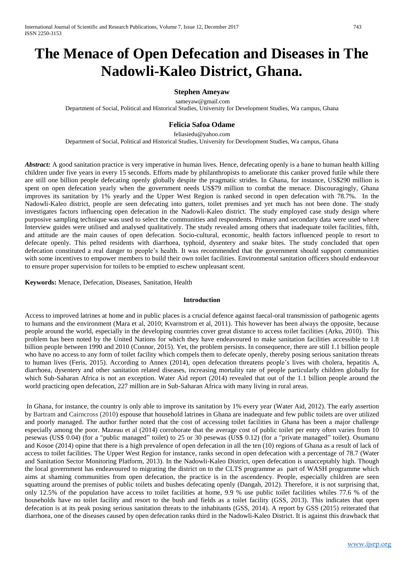# **The Menace of Open Defecation and Diseases in The Nadowli-Kaleo District, Ghana.**

## **Stephen Ameyaw**

[sameyaw@gmail.com](mailto:sameyaw@gmail.com) Department of Social, Political and Historical Studies, University for Development Studies, Wa campus, Ghana

## **Felicia Safoa Odame**

[feliasiedu@yahoo.com](mailto:feliasiedu@yahoo.com) Department of Social, Political and Historical Studies, University for Development Studies, Wa campus, Ghana

*Abstract:* A good sanitation practice is very imperative in human lives. Hence, defecating openly is a bane to human health killing children under five years in every 15 seconds. Efforts made by philanthropists to ameliorate this canker proved futile while there are still one billion people defecating openly globally despite the pragmatic strides. In Ghana, for instance, US\$290 million is spent on open defecation yearly when the government needs US\$79 million to combat the menace. Discouragingly, Ghana improves its sanitation by 1% yearly and the Upper West Region is ranked second in open defecation with 78.7%. In the Nadowli-Kaleo district, people are seen defecating into gutters, toilet premises and yet much has not been done. The study investigates factors influencing open defecation in the Nadowli-Kaleo district. The study employed case study design where purposive sampling technique was used to select the communities and respondents. Primary and secondary data were used where Interview guides were utilised and analysed qualitatively. The study revealed among others that inadequate toilet facilities, filth, and attitude are the main causes of open defecation. Socio-cultural, economic, health factors influenced people to resort to defecate openly. This pelted residents with diarrhoea, typhoid, dysentery and snake bites. The study concluded that open defecation constituted a real danger to people's health. It was recommended that the government should support communities with some incentives to empower members to build their own toilet facilities. Environmental sanitation officers should endeavour to ensure proper supervision for toilets to be emptied to eschew unpleasant scent.

**Keywords:** Menace, Defecation, Diseases, Sanitation, Health

### **Introduction**

Access to improved latrines at home and in public places is a crucial defence against faecal-oral transmission of pathogenic agents to humans and the environment (Mara et al, 2010; Kvarnstrom et al, 2011). This however has been always the opposite, because people around the world, especially in the developing countries cover great distance to access toilet facilities (Arku, 2010). This problem has been noted by the United Nations for which they have endeavoured to make sanitation facilities accessible to 1.8 billion people between 1990 and 2010 (Connor, 2015). Yet, the problem persists. In consequence, there are still 1.1 billion people who have no access to any form of toilet facility which compels them to defecate openly, thereby posing serious sanitation threats to human lives (Feris, 2015). According to Annex (2014), open defecation threatens people's lives with cholera, hepatitis A, diarrhoea, dysentery and other sanitation related diseases, increasing mortality rate of people particularly children globally for which Sub-Saharan Africa is not an exception. Water Aid report (2014) revealed that out of the 1.1 billion people around the world practicing open defecation, 227 million are in Sub-Saharan Africa with many living in rural areas.

In Ghana, for instance, the country is only able to improve its sanitation by 1% every year (Water Aid, 2012). The early assertion by Bartram and Cairncross (2010) espouse that household latrines in Ghana are inadequate and few public toilets are over utilized and poorly managed. The author further noted that the cost of accessing toilet facilities in Ghana has been a major challenge especially among the poor. Mazeau et al (2014) corroborate that the average cost of public toilet per entry often varies from 10 pesewas (US\$ 0.04) (for a "public managed" toilet) to 25 or 30 pesewas (US\$ 0.12) (for a "private managed" toilet). Osumanu and Kosoe (2014) opine that there is a high prevalence of open defecation in all the ten (10) regions of Ghana as a result of lack of access to toilet facilities. The Upper West Region for instance, ranks second in open defecation with a percentage of 78.7 (Water and Sanitation Sector Monitoring Platform, 2013). In the Nadowli-Kaleo District, open defecation is unacceptably high. Though the local government has endeavoured to migrating the district on to the CLTS programme as part of WASH programme which aims at shaming communities from open defecation, the practice is in the ascendency. People, especially children are seen squatting around the premises of public toilets and bushes defecating openly (Dangah, 2012). Therefore, it is not surprising that, only 12.5% of the population have access to toilet facilities at home, 9.9 % use public toilet facilities whiles 77.6 % of the households have no toilet facility and resort to the bush and fields as a toilet facility (GSS, 2013). This indicates that open defecation is at its peak posing serious sanitation threats to the inhabitants (GSS, 2014). A report by GSS (2015) reiterated that diarrhoea, one of the diseases caused by open defecation ranks third in the Nadowli-Kaleo District. It is against this drawback that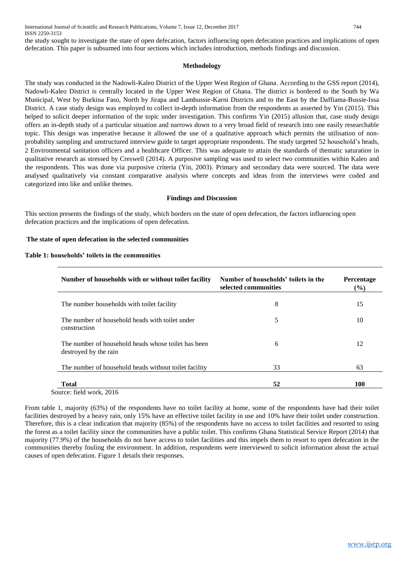the study sought to investigate the state of open defecation, factors influencing open defecation practices and implications of open defecation. This paper is subsumed into four sections which includes introduction, methods findings and discussion.

### **Methodology**

The study was conducted in the Nadowli-Kaleo District of the Upper West Region of Ghana. According to the GSS report (2014), Nadowli-Kaleo District is centrally located in the Upper West Region of Ghana. The district is bordered to the South by Wa Municipal, West by Burkina Faso, North by Jirapa and Lambussie-Karni Districts and to the East by the Daffiama-Bussie-Issa District. A case study design was employed to collect in-depth information from the respondents as asserted by Yin (2015). This helped to solicit deeper information of the topic under investigation. This confirms Yin (2015) allusion that, case study design offers an in-depth study of a particular situation and narrows down to a very broad field of research into one easily researchable topic. This design was imperative because it allowed the use of a qualitative approach which permits the utilisation of nonprobability sampling and unstructured interview guide to target appropriate respondents. The study targeted 52 household's heads, 2 Environmental sanitation officers and a healthcare Officer. This was adequate to attain the standards of thematic saturation in qualitative research as stressed by Creswell (2014). A purposive sampling was used to select two communities within Kaleo and the respondents. This was done via purposive criteria (Yin, 2003). Primary and secondary data were sourced. The data were analysed qualitatively via constant comparative analysis where concepts and ideas from the interviews were coded and categorized into like and unlike themes.

#### **Findings and Discussion**

This section presents the findings of the study, which borders on the state of open defecation, the factors influencing open defecation practices and the implications of open defecation.

#### **The state of open defecation in the selected communities**

#### **Table 1: households' toilets in the communities**

| Number of households with or without toilet facility                         | Number of households' toilets in the<br>selected communities | <b>Percentage</b><br>$\frac{6}{6}$ |
|------------------------------------------------------------------------------|--------------------------------------------------------------|------------------------------------|
| The number households with toilet facility                                   | 8                                                            | 15                                 |
| The number of household heads with toilet under<br>construction              | 5                                                            | 10                                 |
| The number of household heads whose toilet has been<br>destroyed by the rain | 6                                                            | 12                                 |
| The number of household heads without toilet facility                        | 33                                                           | 63                                 |
| <b>Total</b>                                                                 | 52                                                           | 100                                |

From table 1, majority (63%) of the respondents have no toilet facility at home, some of the respondents have had their toilet facilities destroyed by a heavy rain, only 15% have an effective toilet facility in use and 10% have their toilet under construction. Therefore, this is a clear indication that majority (85%) of the respondents have no access to toilet facilities and resorted to using the forest as a toilet facility since the communities have a public toilet. This confirms Ghana Statistical Service Report (2014) that majority (77.9%) of the households do not have access to toilet facilities and this impels them to resort to open defecation in the communities thereby fouling the environment. In addition, respondents were interviewed to solicit information about the actual causes of open defecation. Figure 1 details their responses.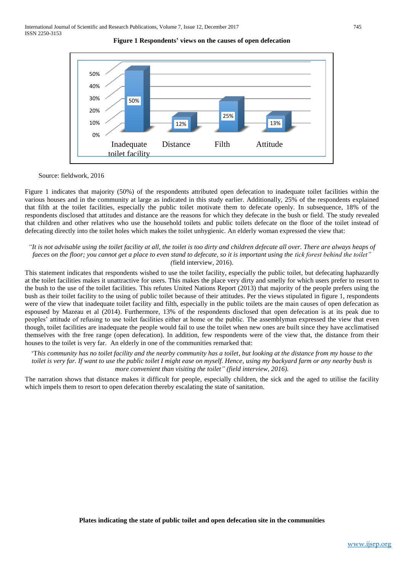



#### Source: fieldwork, 2016

Figure 1 indicates that majority (50%) of the respondents attributed open defecation to inadequate toilet facilities within the various houses and in the community at large as indicated in this study earlier. Additionally, 25% of the respondents explained that filth at the toilet facilities, especially the public toilet motivate them to defecate openly. In subsequence, 18% of the respondents disclosed that attitudes and distance are the reasons for which they defecate in the bush or field. The study revealed that children and other relatives who use the household toilets and public toilets defecate on the floor of the toilet instead of defecating directly into the toilet holes which makes the toilet unhygienic. An elderly woman expressed the view that:

#### *"It is not advisable using the toilet facility at all, the toilet is too dirty and children defecate all over. There are always heaps of*  faeces on the floor; you cannot get a place to even stand to defecate, so it is important using the tick forest behind the toilet" *(*field interview, 2016).

This statement indicates that respondents wished to use the toilet facility, especially the public toilet, but defecating haphazardly at the toilet facilities makes it unattractive for users. This makes the place very dirty and smelly for which users prefer to resort to the bush to the use of the toilet facilities. This refutes United Nations Report (2013) that majority of the people prefers using the bush as their toilet facility to the using of public toilet because of their attitudes. Per the views stipulated in figure 1, respondents were of the view that inadequate toilet facility and filth, especially in the public toilets are the main causes of open defecation as espoused by Mazeau et al (2014). Furthermore, 13% of the respondents disclosed that open defecation is at its peak due to peoples' attitude of refusing to use toilet facilities either at home or the public. The assemblyman expressed the view that even though, toilet facilities are inadequate the people would fail to use the toilet when new ones are built since they have acclimatised themselves with the free range (open defecation). In addition, few respondents were of the view that, the distance from their houses to the toilet is very far. An elderly in one of the communities remarked that:

'T*his community has no toilet facility and the nearby community has a toilet, but looking at the distance from my house to the toilet is very far. If want to use the public toilet I might ease on myself. Hence, using my backyard farm or any nearby bush is more convenient than visiting the toilet*" (field interview, 2016).

The narration shows that distance makes it difficult for people, especially children, the sick and the aged to utilise the facility which impels them to resort to open defecation thereby escalating the state of sanitation.

**Plates indicating the state of public toilet and open defecation site in the communities**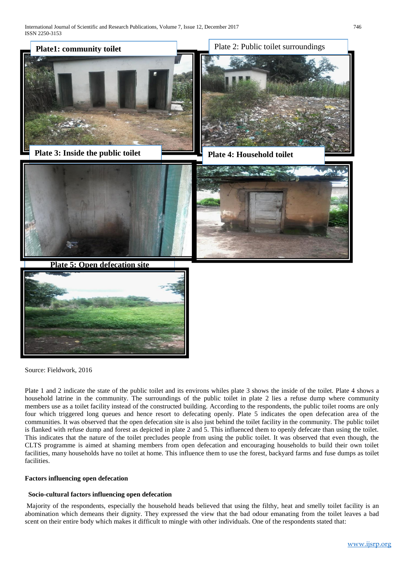

Source: Fieldwork, 2016

Plate 1 and 2 indicate the state of the public toilet and its environs whiles plate 3 shows the inside of the toilet. Plate 4 shows a household latrine in the community. The surroundings of the public toilet in plate 2 lies a refuse dump where community members use as a toilet facility instead of the constructed building. According to the respondents, the public toilet rooms are only four which triggered long queues and hence resort to defecating openly. Plate 5 indicates the open defecation area of the communities. It was observed that the open defecation site is also just behind the toilet facility in the community. The public toilet is flanked with refuse dump and forest as depicted in plate 2 and 5. This influenced them to openly defecate than using the toilet. This indicates that the nature of the toilet precludes people from using the public toilet. It was observed that even though, the CLTS programme is aimed at shaming members from open defecation and encouraging households to build their own toilet facilities, many households have no toilet at home. This influence them to use the forest, backyard farms and fuse dumps as toilet facilities.

## **Factors influencing open defecation**

### **Socio-cultural factors influencing open defecation**

Majority of the respondents, especially the household heads believed that using the filthy, heat and smelly toilet facility is an abomination which demeans their dignity. They expressed the view that the bad odour emanating from the toilet leaves a bad scent on their entire body which makes it difficult to mingle with other individuals. One of the respondents stated that: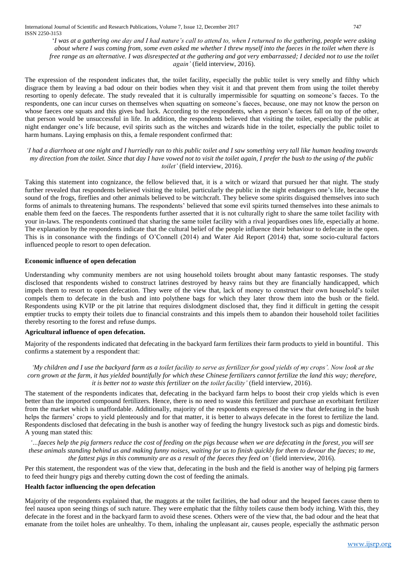'*I was at a gathering one day and I had nature's call to attend to, when I returned to the gathering, people were asking about where I was coming from, some even asked me whether I threw myself into the faeces in the toilet when there is free range as an alternative. I was disrespected at the gathering and got very embarrassed; I decided not to use the toilet again'* (field interview, 2016).

The expression of the respondent indicates that, the toilet facility, especially the public toilet is very smelly and filthy which disgrace them by leaving a bad odour on their bodies when they visit it and that prevent them from using the toilet thereby resorting to openly defecate. The study revealed that it is culturally impermissible for squatting on someone's faeces. To the respondents, one can incur curses on themselves when squatting on someone's faeces, because, one may not know the person on whose faeces one squats and this gives bad luck. According to the respondents, when a person's faeces fall on top of the other, that person would be unsuccessful in life. In addition, the respondents believed that visiting the toilet, especially the public at night endanger one's life because, evil spirits such as the witches and wizards hide in the toilet, especially the public toilet to harm humans. Laying emphasis on this, a female respondent confirmed that:

*'I had a diarrhoea at one night and I hurriedly ran to this public toilet and I saw something very tall like human heading towards my direction from the toilet. Since that day I have vowed not to visit the toilet again, I prefer the bush to the using of the public toilet'* (field interview, 2016).

Taking this statement into cognizance, the fellow believed that, it is a witch or wizard that pursued her that night. The study further revealed that respondents believed visiting the toilet, particularly the public in the night endangers one's life, because the sound of the frogs, fireflies and other animals believed to be witchcraft. They believe some spirits disguised themselves into such forms of animals to threatening humans. The respondents' believed that some evil spirits turned themselves into these animals to enable them feed on the faeces. The respondents further asserted that it is not culturally right to share the same toilet facility with your in-laws. The respondents continued that sharing the same toilet facility with a rival jeopardises ones life, especially at home. The explanation by the respondents indicate that the cultural belief of the people influence their behaviour to defecate in the open. This is in consonance with the findings of O'Connell (2014) and Water Aid Report (2014) that, some socio-cultural factors influenced people to resort to open defecation.

### **Economic influence of open defecation**

Understanding why community members are not using household toilets brought about many fantastic responses. The study disclosed that respondents wished to construct latrines destroyed by heavy rains but they are financially handicapped, which impels them to resort to open defecation. They were of the view that, lack of money to construct their own household's toilet compels them to defecate in the bush and into polythene bags for which they later throw them into the bush or the field. Respondents using KVIP or the pit latrine that requires dislodgment disclosed that, they find it difficult in getting the cesspit emptier trucks to empty their toilets due to financial constraints and this impels them to abandon their household toilet facilities thereby resorting to the forest and refuse dumps.

## **Agricultural influence of open defecation.**

Majority of the respondents indicated that defecating in the backyard farm fertilizes their farm products to yield in bountiful. This confirms a statement by a respondent that:

*'My children and I use the backyard farm as a toilet facility to serve as fertilizer for good yields of my crops'. Now look at the corn grown at the farm, it has yielded bountifully for which these Chinese fertilizers cannot fertilize the land this way; therefore, it is better not to waste this fertilizer on the toilet facility'* (field interview, 2016).

The statement of the respondents indicates that, defecating in the backyard farm helps to boost their crop yields which is even better than the imported compound fertilizers. Hence, there is no need to waste this fertilizer and purchase an exorbitant fertilizer from the market which is unaffordable. Additionally, majority of the respondents expressed the view that defecating in the bush helps the farmers' crops to yield plenteously and for that matter, it is better to always defecate in the forest to fertilize the land. Respondents disclosed that defecating in the bush is another way of feeding the hungry livestock such as pigs and domestic birds. A young man stated this:

*'…faeces help the pig farmers reduce the cost of feeding on the pigs because when we are defecating in the forest, you will see these animals standing behind us and making funny noises, waiting for us to finish quickly for them to devour the faeces; to me, the fattest pigs in this community are as a result of the faeces they feed on'* (field interview, 2016).

Per this statement, the respondent was of the view that, defecating in the bush and the field is another way of helping pig farmers to feed their hungry pigs and thereby cutting down the cost of feeding the animals.

## **Health factor influencing the open defecation**

Majority of the respondents explained that, the maggots at the toilet facilities, the bad odour and the heaped faeces cause them to feel nausea upon seeing things of such nature. They were emphatic that the filthy toilets cause them body itching. With this, they defecate in the forest and in the backyard farm to avoid these scenes. Others were of the view that, the bad odour and the heat that emanate from the toilet holes are unhealthy. To them, inhaling the unpleasant air, causes people, especially the asthmatic person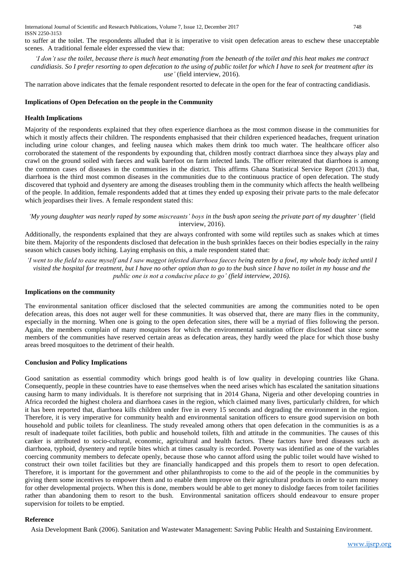to suffer at the toilet. The respondents alluded that it is imperative to visit open defecation areas to eschew these unacceptable scenes. A traditional female elder expressed the view that:

*'I don't use the toilet, because there is much heat emanating from the beneath of the toilet and this heat makes me contract candidiasis*. *So I prefer resorting to open defecation to the using of public toilet for which I have to seek for treatment after its use'* (field interview, 2016).

The narration above indicates that the female respondent resorted to defecate in the open for the fear of contracting candidiasis.

### **Implications of Open Defecation on the people in the Community**

#### **Health Implications**

Majority of the respondents explained that they often experience diarrhoea as the most common disease in the communities for which it mostly affects their children. The respondents emphasised that their children experienced headaches, frequent urination including urine colour changes, and feeling nausea which makes them drink too much water. The healthcare officer also corroborated the statement of the respondents by expounding that, children mostly contract diarrhoea since they always play and crawl on the ground soiled with faeces and walk barefoot on farm infected lands. The officer reiterated that diarrhoea is among the common cases of diseases in the communities in the district. This affirms Ghana Statistical Service Report (2013) that, diarrhoea is the third most common diseases in the communities due to the continuous practice of open defecation. The study discovered that typhoid and dysentery are among the diseases troubling them in the community which affects the health wellbeing of the people. In addition, female respondents added that at times they ended up exposing their private parts to the male defecator which jeopardises their lives. A female respondent stated this:

*'My young daughter was nearly raped by some miscreants' boys in the bush upon seeing the private part of my daughter'* (field interview, 2016).

Additionally, the respondents explained that they are always confronted with some wild reptiles such as snakes which at times bite them. Majority of the respondents disclosed that defecation in the bush sprinkles faeces on their bodies especially in the rainy season which causes body itching. Laying emphasis on this, a male respondent stated that:

*'I went to the field to ease myself and I saw maggot infested diarrhoea faeces being eaten by a fowl, my whole body itched until I visited the hospital for treatment, but I have no other option than to go to the bush since I have no toilet in my house and the public one is not a conducive place to go' (field interview, 2016).*

#### **Implications on the community**

The environmental sanitation officer disclosed that the selected communities are among the communities noted to be open defecation areas, this does not auger well for these communities. It was observed that, there are many flies in the community, especially in the morning. When one is going to the open defecation sites, there will be a myriad of flies following the person. Again, the members complain of many mosquitoes for which the environmental sanitation officer disclosed that since some members of the communities have reserved certain areas as defecation areas, they hardly weed the place for which those bushy areas breed mosquitoes to the detriment of their health.

### **Conclusion and Policy Implications**

Good sanitation as essential commodity which brings good health is of low quality in developing countries like Ghana. Consequently, people in these countries have to ease themselves when the need arises which has escalated the sanitation situations causing harm to many individuals. It is therefore not surprising that in 2014 Ghana, Nigeria and other developing countries in Africa recorded the highest cholera and diarrhoea cases in the region, which claimed many lives, particularly children, for which it has been reported that, diarrhoea kills children under five in every 15 seconds and degrading the environment in the region. Therefore, it is very imperative for community health and environmental sanitation officers to ensure good supervision on both household and public toilets for cleanliness. The study revealed among others that open defecation in the communities is as a result of inadequate toilet facilities, both public and household toilets, filth and attitude in the communities. The causes of this canker is attributed to socio-cultural, economic, agricultural and health factors. These factors have bred diseases such as diarrhoea, typhoid, dysentery and reptile bites which at times casualty is recorded. Poverty was identified as one of the variables coercing community members to defecate openly, because those who cannot afford using the public toilet would have wished to construct their own toilet facilities but they are financially handicapped and this propels them to resort to open defecation. Therefore, it is important for the government and other philanthropists to come to the aid of the people in the communities by giving them some incentives to empower them and to enable them improve on their agricultural products in order to earn money for other developmental projects. When this is done, members would be able to get money to dislodge faeces from toilet facilities rather than abandoning them to resort to the bush. Environmental sanitation officers should endeavour to ensure proper supervision for toilets to be emptied.

#### **Reference**

Asia Development Bank (2006). Sanitation and Wastewater Management: Saving Public Health and Sustaining Environment.